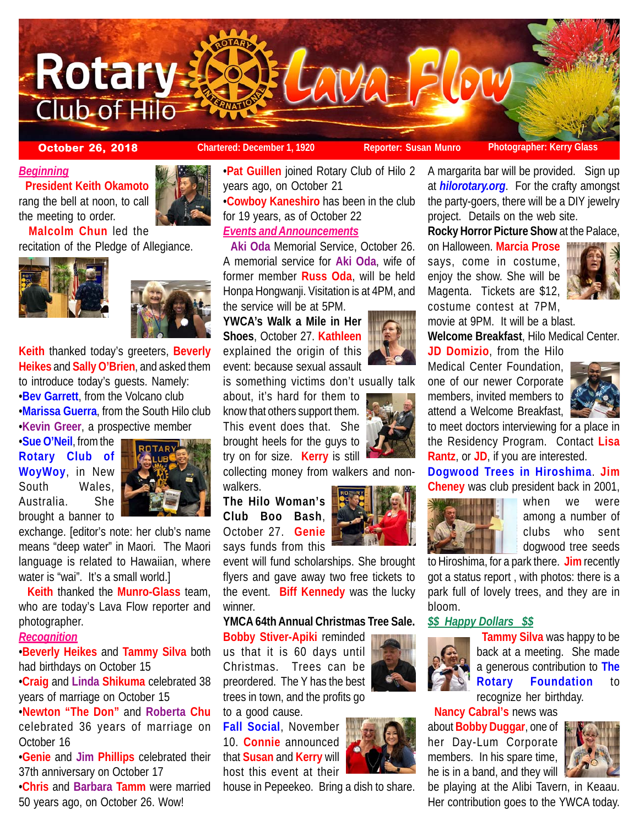

**October 26, 2018 Chartered: December 1, 1920 Reporter: Susan Munro Photographer: Kerry Glass** 

A margarita bar will be provided. Sign up at *hilorotary.org*. For the crafty amongst the party-goers, there will be a DIY jewelry

**Rocky Horror Picture Show** at the Palace,

**Welcome Breakfast**, Hilo Medical Center.

project. Details on the web site.

on Halloween. **Marcia Prose** says, come in costume, enjoy the show. She will be Magenta. Tickets are \$12, costume contest at 7PM, movie at 9PM. It will be a blast.

**JD Domizio**, from the Hilo Medical Center Foundation, one of our newer Corporate

*Beginning*

 **President Keith Okamoto** rang the bell at noon, to call the meeting to order.

 **Malcolm Chun** led the recitation of the Pledge of Allegiance.





**Keith** thanked today's greeters, **Beverly Heikes** and **Sally O'Brien**, and asked them to introduce today's guests. Namely: •**Bev Garrett**, from the Volcano club •**Marissa Guerra**, from the South Hilo club •**Kevin Greer**, a prospective member

•**Sue O'Neil**, from the **Rotary Club of WoyWoy**, in New South Wales, Australia. She brought a banner to



exchange. [editor's note: her club's name means "deep water" in Maori. The Maori language is related to Hawaiian, where water is "wai". It's a small world.]

 **Keith** thanked the **Munro-Glass** team, who are today's Lava Flow reporter and photographer.

# *Recognition*

•**Beverly Heikes** and **Tammy Silva** both had birthdays on October 15

•**Craig** and **Linda Shikuma** celebrated 38 years of marriage on October 15

•**Newton "The Don"** and **Roberta Chu** celebrated 36 years of marriage on October 16

•**Genie** and **Jim Phillips** celebrated their 37th anniversary on October 17

•**Chris** and **Barbara Tamm** were married 50 years ago, on October 26. Wow!

•**Pat Guillen** joined Rotary Club of Hilo 2 years ago, on October 21

•**Cowboy Kaneshiro** has been in the club for 19 years, as of October 22 *Events and Announcements*

 **Aki Oda** Memorial Service, October 26. A memorial service for **Aki Oda**, wife of former member **Russ Oda**, will be held Honpa Hongwanji. Visitation is at 4PM, and the service will be at 5PM.

**YWCA's Walk a Mile in Her Shoes**, October 27. **Kathleen** explained the origin of this event: because sexual assault

is something victims don't usually talk

about, it's hard for them to know that others support them. This event does that. She brought heels for the guys to try on for size. **Kerry** is still

collecting money from walkers and non-

walkers.

October 27. **Genie** says funds from this

flyers and gave away two free tickets to the event. **Biff Kennedy** was the lucky winner.

# **YMCA 64th Annual Christmas Tree Sale.**

**Bobby Stiver-Apiki** reminded us that it is 60 days until

Christmas. Trees can be preordered. The Y has the best trees in town, and the profits go

to a good cause.

**Fall Social**, November 10. **Connie** announced that **Susan** and **Kerry** will host this event at their

house in Pepeekeo. Bring a dish to share.



 **Tammy Silva** was happy to be back at a meeting. She made a generous contribution to **The Rotary Foundation** to recognize her birthday.

**Nancy Cabral's** news was

about **Bobby Duggar**, one of her Day-Lum Corporate members. In his spare time, he is in a band, and they will



be playing at the Alibi Tavern, in Keaau. Her contribution goes to the YWCA today.



**The Hilo Woman's Club Boo Bash**,

event will fund scholarships. She brought

**Rantz**, or **JD**, if you are interested. **Dogwood Trees in Hiroshima**. **Jim Cheney** was club president back in 2001,



to Hiroshima, for a park there. **Jim** recently got a status report , with photos: there is a park full of lovely trees, and they are in bloom.

# *\$\$ Happy Dollars \$\$*

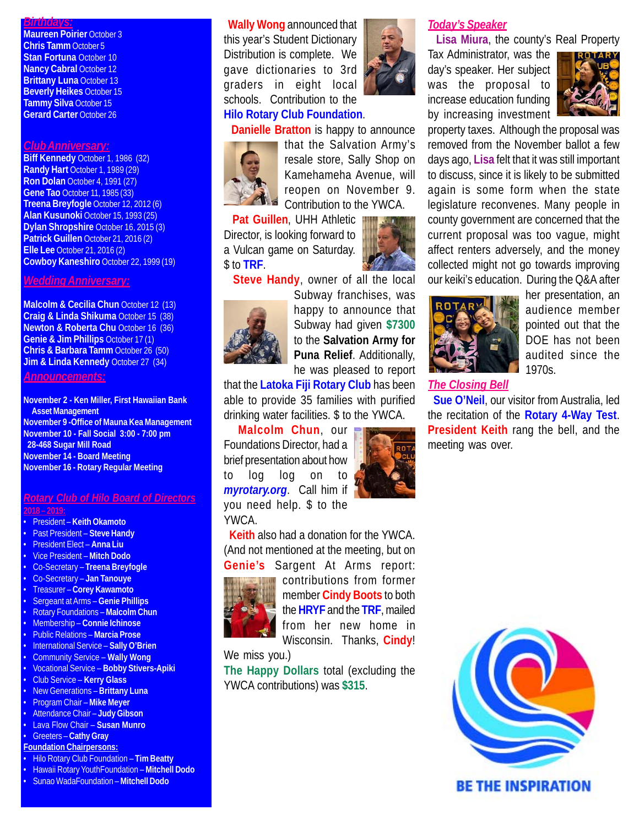## *Birthdays:*

**Maureen Poirier October 3 Chris Tamm** October 5 **Stan Fortuna** October 10 **Nancy Cabral October 12 Brittany Luna** October 13 **Beverly Heikes** October 15 **Tammy Silva** October 15 **Gerard Carter** October 26

#### *Club Anniversary:*

**Biff Kennedy** October 1, 1986 (32) **Randy Hart** October 1, 1989 (29) **Ron Dolan** October 4, 1991 (27) **Gene Tao** October 11, 1985 (33) **Treena Breyfogle** October 12, 2012 (6) **Alan Kusunoki** October 15, 1993 (25) **Dylan Shropshire** October 16, 2015 (3) **Patrick Guillen** October 21, 2016 (2) **Elle Lee** October 21, 2016 (2) **Cowboy Kaneshiro** October 22, 1999 (19)

## *Wedding Anniversary:*

**Malcolm & Cecilia Chun** October 12 (13) **Craig & Linda Shikuma** October 15 (38) **Newton & Roberta Chu October 16 (36) Genie & Jim Phillips** October 17 (1) **Chris & Barbara Tamm** October 26 (50) **Jim & Linda Kennedy October 27 (34)** 

#### *Announcements:*

**November 2 - Ken Miller, First Hawaiian Bank Asset Management November 9 -Office of Mauna Kea Management November 10 - Fall Social 3:00 - 7:00 pm 28-468 Sugar Mill Road November 14 - Board Meeting November 16 - Rotary Regular Meeting**

#### *Rotary Club of Hilo Board of Directors* **2018 – 2019:**

- President **Keith Okamoto**
- Past President **Steve Handy**
- President Elect **Anna Liu**
- Vice President **Mitch Dodo**
- 
- Co-Secretary **Treena Breyfogle**
- Co-Secretary **Jan Tanouye**
- Treasurer **Corey Kawamoto**
- Sergeant at Arms – **Genie Phillips**
- Rotary Foundations **Malcolm Chun**
- Membership **Connie Ichinose**
- Public Relations **Marcia Prose**
- International Service **Sally O'Brien**
- Community Service **Wally Wong** • Vocational Service – **Bobby Stivers-Apiki**
- Club Service **Kerry Glass**
- New Generations **Brittany Luna**
- Program Chair – **Mike Meyer**
- Attendance Chair **Judy Gibson**
- Lava Flow Chair **Susan Munro**
- Greeters **Cathy Gray**
- **Foundation Chairpersons:**
- Hilo Rotary Club Foundation **Tim Beatty**
- Hawaii Rotary YouthFoundation **Mitchell Dodo**
- Sunao WadaFoundation **Mitchell Dodo**

 **Wally Wong** announced that this year's Student Dictionary Distribution is complete. We gave dictionaries to 3rd graders in eight local schools. Contribution to the **Hilo Rotary Club Foundation**.



# **Danielle Bratton** is happy to announce



that the Salvation Army's resale store, Sally Shop on Kamehameha Avenue, will reopen on November 9. Contribution to the YWCA.

 **Pat Guillen**, UHH Athletic Director, is looking forward to a Vulcan game on Saturday. \$ to **TRF**.

**Steve Handy**, owner of all the local



Subway franchises, was happy to announce that Subway had given **\$7300** to the **Salvation Army for Puna Relief**. Additionally, he was pleased to report

that the **Latoka Fiji Rotary Club** has been able to provide 35 families with purified drinking water facilities. \$ to the YWCA.

 **Malcolm Chun**, our Foundations Director, had a brief presentation about how to log log on to *myrotary.org*. Call him if you need help. \$ to the YWCA.

 **Keith** also had a donation for the YWCA. (And not mentioned at the meeting, but on **Genie's** Sargent At Arms report:



contributions from former member **Cindy Boots** to both the **HRYF** and the **TRF**, mailed from her new home in Wisconsin. Thanks, **Cindy**!

We miss you.)

**The Happy Dollars** total (excluding the YWCA contributions) was **\$315**.

## *Today's Speaker*

**Lisa Miura**, the county's Real Property

Tax Administrator, was the day's speaker. Her subject was the proposal to increase education funding by increasing investment



property taxes. Although the proposal was removed from the November ballot a few days ago, **Lisa** felt that it was still important to discuss, since it is likely to be submitted again is some form when the state legislature reconvenes. Many people in county government are concerned that the current proposal was too vague, might affect renters adversely, and the money collected might not go towards improving our keiki's education. During the Q&A after



her presentation, an audience member pointed out that the DOE has not been audited since the 1970s.

## *The Closing Bell*

 **Sue O'Neil**, our visitor from Australia, led the recitation of the **Rotary 4-Way Test**. **President Keith** rang the bell, and the meeting was over.





**BE THE INSPIRATION**